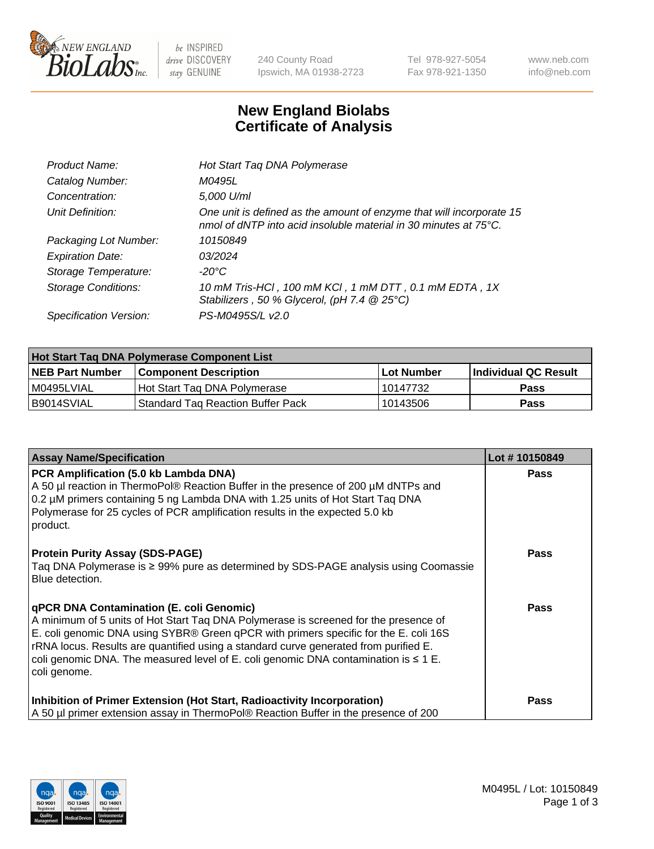

 $be$  INSPIRED drive DISCOVERY stay GENUINE

240 County Road Ipswich, MA 01938-2723 Tel 978-927-5054 Fax 978-921-1350 www.neb.com info@neb.com

## **New England Biolabs Certificate of Analysis**

| Hot Start Taq DNA Polymerase                                                                                                                       |
|----------------------------------------------------------------------------------------------------------------------------------------------------|
| M0495L                                                                                                                                             |
| 5,000 U/ml                                                                                                                                         |
| One unit is defined as the amount of enzyme that will incorporate 15<br>nmol of dNTP into acid insoluble material in 30 minutes at $75^{\circ}$ C. |
| 10150849                                                                                                                                           |
| 03/2024                                                                                                                                            |
| $-20^{\circ}$ C                                                                                                                                    |
| 10 mM Tris-HCl, 100 mM KCl, 1 mM DTT, 0.1 mM EDTA, 1X<br>Stabilizers, 50 % Glycerol, (pH 7.4 @ 25°C)                                               |
| PS-M0495S/L v2.0                                                                                                                                   |
|                                                                                                                                                    |

| Hot Start Taq DNA Polymerase Component List |                                          |              |                      |  |  |
|---------------------------------------------|------------------------------------------|--------------|----------------------|--|--|
| <b>NEB Part Number</b>                      | Component Description_                   | l Lot Number | Individual QC Result |  |  |
| M0495LVIAL                                  | Hot Start Tag DNA Polymerase             | 10147732     | Pass                 |  |  |
| I B9014SVIAL                                | <b>Standard Tag Reaction Buffer Pack</b> | 10143506     | Pass                 |  |  |

| <b>Assay Name/Specification</b>                                                                                                                                                                                                                                                                                                                                                                                                       | Lot #10150849 |
|---------------------------------------------------------------------------------------------------------------------------------------------------------------------------------------------------------------------------------------------------------------------------------------------------------------------------------------------------------------------------------------------------------------------------------------|---------------|
| <b>PCR Amplification (5.0 kb Lambda DNA)</b><br>A 50 µl reaction in ThermoPol® Reaction Buffer in the presence of 200 µM dNTPs and<br>0.2 µM primers containing 5 ng Lambda DNA with 1.25 units of Hot Start Tag DNA<br>Polymerase for 25 cycles of PCR amplification results in the expected 5.0 kb<br>product.                                                                                                                      | <b>Pass</b>   |
| <b>Protein Purity Assay (SDS-PAGE)</b><br>Taq DNA Polymerase is ≥ 99% pure as determined by SDS-PAGE analysis using Coomassie<br>Blue detection.                                                                                                                                                                                                                                                                                      | <b>Pass</b>   |
| <b>qPCR DNA Contamination (E. coli Genomic)</b><br>A minimum of 5 units of Hot Start Tag DNA Polymerase is screened for the presence of<br>E. coli genomic DNA using SYBR® Green qPCR with primers specific for the E. coli 16S<br>  rRNA locus. Results are quantified using a standard curve generated from purified E.<br>coli genomic DNA. The measured level of E. coli genomic DNA contamination is $\leq 1$ E.<br>coli genome. | <b>Pass</b>   |
| Inhibition of Primer Extension (Hot Start, Radioactivity Incorporation)<br>A 50 µl primer extension assay in ThermoPol® Reaction Buffer in the presence of 200                                                                                                                                                                                                                                                                        | <b>Pass</b>   |

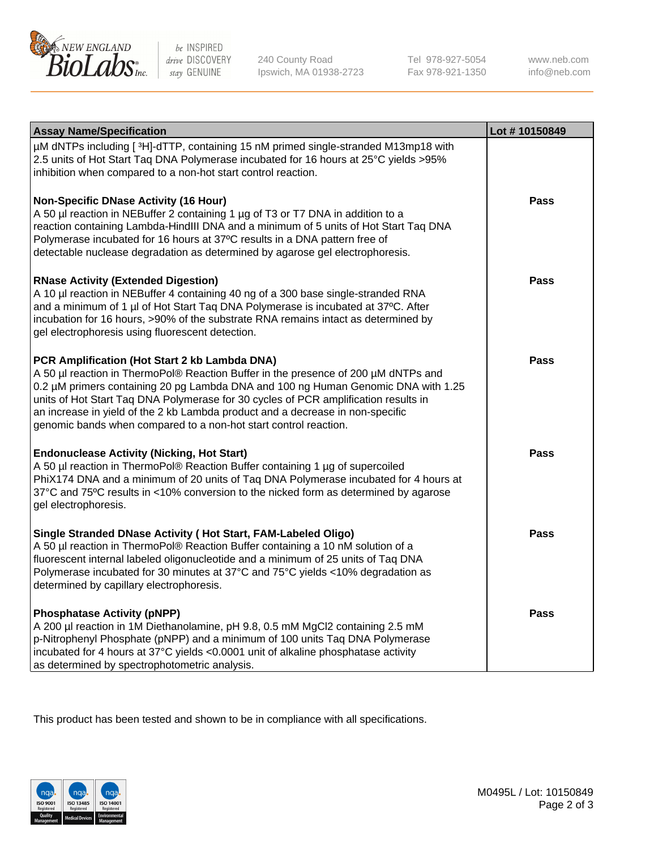

be INSPIRED drive DISCOVERY stay GENUINE

240 County Road Ipswich, MA 01938-2723 Tel 978-927-5054 Fax 978-921-1350 www.neb.com info@neb.com

| <b>Assay Name/Specification</b>                                                                                                                                                                                                                                                                                                                                                                                                                                       | Lot #10150849 |
|-----------------------------------------------------------------------------------------------------------------------------------------------------------------------------------------------------------------------------------------------------------------------------------------------------------------------------------------------------------------------------------------------------------------------------------------------------------------------|---------------|
| µM dNTPs including [3H]-dTTP, containing 15 nM primed single-stranded M13mp18 with<br>2.5 units of Hot Start Taq DNA Polymerase incubated for 16 hours at 25°C yields >95%<br>inhibition when compared to a non-hot start control reaction.                                                                                                                                                                                                                           |               |
| <b>Non-Specific DNase Activity (16 Hour)</b><br>A 50 µl reaction in NEBuffer 2 containing 1 µg of T3 or T7 DNA in addition to a<br>reaction containing Lambda-HindIII DNA and a minimum of 5 units of Hot Start Taq DNA<br>Polymerase incubated for 16 hours at 37°C results in a DNA pattern free of<br>detectable nuclease degradation as determined by agarose gel electrophoresis.                                                                                | <b>Pass</b>   |
| <b>RNase Activity (Extended Digestion)</b><br>A 10 µl reaction in NEBuffer 4 containing 40 ng of a 300 base single-stranded RNA<br>and a minimum of 1 µl of Hot Start Taq DNA Polymerase is incubated at 37°C. After<br>incubation for 16 hours, >90% of the substrate RNA remains intact as determined by<br>gel electrophoresis using fluorescent detection.                                                                                                        | Pass          |
| PCR Amplification (Hot Start 2 kb Lambda DNA)<br>A 50 µl reaction in ThermoPol® Reaction Buffer in the presence of 200 µM dNTPs and<br>0.2 µM primers containing 20 pg Lambda DNA and 100 ng Human Genomic DNA with 1.25<br>units of Hot Start Taq DNA Polymerase for 30 cycles of PCR amplification results in<br>an increase in yield of the 2 kb Lambda product and a decrease in non-specific<br>genomic bands when compared to a non-hot start control reaction. | <b>Pass</b>   |
| <b>Endonuclease Activity (Nicking, Hot Start)</b><br>A 50 µl reaction in ThermoPol® Reaction Buffer containing 1 µg of supercoiled<br>PhiX174 DNA and a minimum of 20 units of Taq DNA Polymerase incubated for 4 hours at<br>37°C and 75°C results in <10% conversion to the nicked form as determined by agarose<br>gel electrophoresis.                                                                                                                            | <b>Pass</b>   |
| Single Stranded DNase Activity (Hot Start, FAM-Labeled Oligo)<br>A 50 µl reaction in ThermoPol® Reaction Buffer containing a 10 nM solution of a<br>fluorescent internal labeled oligonucleotide and a minimum of 25 units of Taq DNA<br>Polymerase incubated for 30 minutes at 37°C and 75°C yields <10% degradation as<br>determined by capillary electrophoresis.                                                                                                  | <b>Pass</b>   |
| <b>Phosphatase Activity (pNPP)</b><br>A 200 µl reaction in 1M Diethanolamine, pH 9.8, 0.5 mM MgCl2 containing 2.5 mM<br>p-Nitrophenyl Phosphate (pNPP) and a minimum of 100 units Taq DNA Polymerase<br>incubated for 4 hours at 37°C yields <0.0001 unit of alkaline phosphatase activity<br>as determined by spectrophotometric analysis.                                                                                                                           | Pass          |

This product has been tested and shown to be in compliance with all specifications.